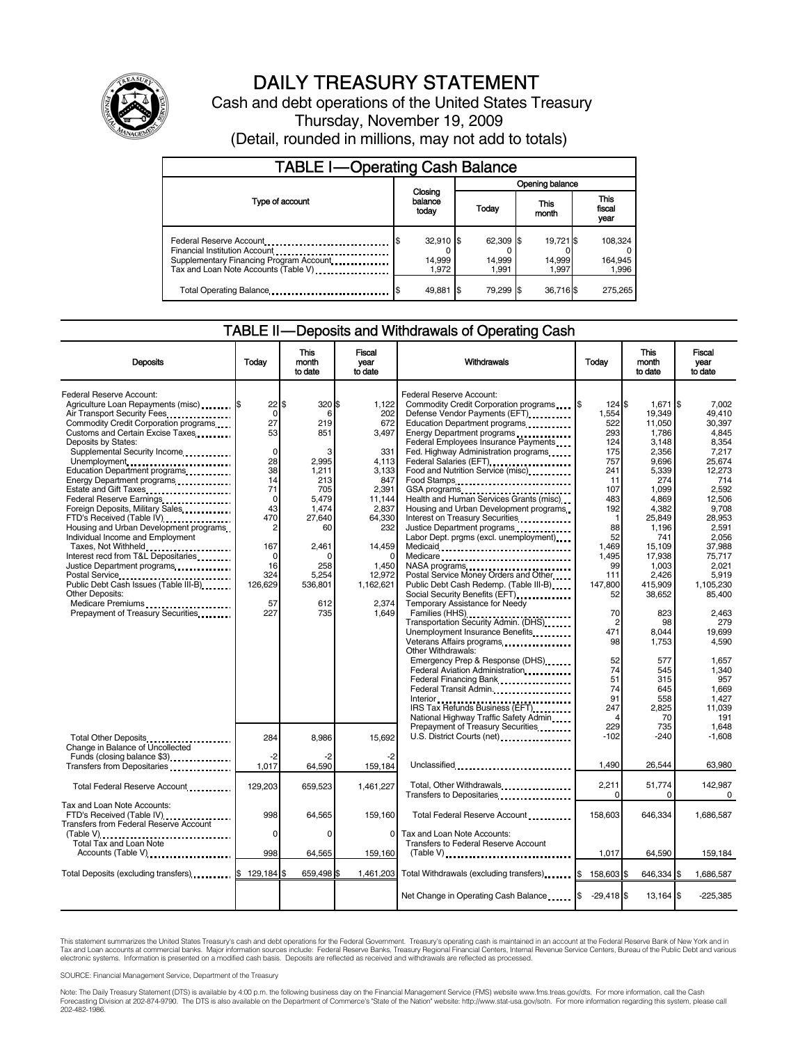

# DAILY TREASURY STATEMENT

Cash and debt operations of the United States Treasury Thursday, November 19, 2009 (Detail, rounded in millions, may not add to totals)

| <b>TABLE I-Operating Cash Balance</b>                               |                                |                              |                              |                               |  |  |  |  |
|---------------------------------------------------------------------|--------------------------------|------------------------------|------------------------------|-------------------------------|--|--|--|--|
|                                                                     |                                | Opening balance              |                              |                               |  |  |  |  |
| Type of account                                                     | Closing<br>balance<br>today    | Today                        | This<br>month                | <b>This</b><br>fiscal<br>year |  |  |  |  |
| Federal Reserve Account<br>Supplementary Financing Program Account. | $32,910$ \$<br>14,999<br>1.972 | 62,309 \$<br>14,999<br>1.991 | 19,721 \$<br>14,999<br>1.997 | 108.324<br>164,945<br>1,996   |  |  |  |  |
| Total Operating Balance                                             | 49,881                         | 79.299 \$<br>- 15            | 36,716\$                     | 275.265                       |  |  |  |  |

## TABLE II — Deposits and Withdrawals of Operating Cash

| <b>Deposits</b>                                                                                                                                                                                                                                                                        | Todav                                                      | This<br>month<br>to date                     | Fiscal<br>year<br>to date                                   | Withdrawals                                                                                                                                                                                                                                                                         | Today                                                   | This<br>month<br>to date                                               | Fiscal<br>year<br>to date                                                      |
|----------------------------------------------------------------------------------------------------------------------------------------------------------------------------------------------------------------------------------------------------------------------------------------|------------------------------------------------------------|----------------------------------------------|-------------------------------------------------------------|-------------------------------------------------------------------------------------------------------------------------------------------------------------------------------------------------------------------------------------------------------------------------------------|---------------------------------------------------------|------------------------------------------------------------------------|--------------------------------------------------------------------------------|
| Federal Reserve Account:<br>Agriculture Loan Repayments (misc) [\$<br>Air Transport Security Fees<br>Commodity Credit Corporation programs<br>Customs and Certain Excise Taxes<br>Deposits by States:<br>Supplemental Security Income<br>Unemployment<br>Education Department programs | 22 S<br>$\mathbf 0$<br>27<br>53<br>$\mathbf 0$<br>28<br>38 | 320 \$<br>6<br>219<br>851<br>2,995<br>1,211  | 1,122<br>202<br>672<br>3,497<br>331<br>4,113<br>3,133       | Federal Reserve Account:<br>Commodity Credit Corporation programs<br>Defense Vendor Payments (EFT)<br>Education Department programs<br>Federal Employees Insurance Payments.<br>Fed. Highway Administration programs<br>Federal Salaries (EFT)<br>Food and Nutrition Service (misc) | 124S<br>1,554<br>522<br>293<br>124<br>175<br>757<br>241 | 1.671<br>19,349<br>11,050<br>1,786<br>3,148<br>2,356<br>9.696<br>5,339 | \$<br>7.002<br>49.410<br>30,397<br>4.845<br>8,354<br>7,217<br>25.674<br>12,273 |
| Energy Department programs<br>Estate and Gift Taxes<br>Federal Reserve Earnings<br>Foreign Deposits, Military Sales<br>FTD's Received (Table IV)<br>Housing and Urban Development programs<br>Individual Income and Employment                                                         | 14<br>71<br>$\mathbf 0$<br>43<br>470<br>2                  | 213<br>705<br>5,479<br>1.474<br>27,640<br>60 | 847<br>2,391<br>11,144<br>2,837<br>64,330<br>232            | Food Stamps<br>GSA programs<br>Health and Human Services Grants (misc)<br>Housing and Urban Development programs<br>Interest on Treasury Securities<br>Justice Department programs<br><br>Labor Dept. prgms (excl. unemployment)                                                    | 11<br>107<br>483<br>192<br>88<br>52                     | 274<br>1.099<br>4,869<br>4,382<br>25,849<br>1.196<br>741               | 714<br>2.592<br>12,506<br>9,708<br>28.953<br>2.591<br>2.056                    |
| Taxes, Not Withheld<br>Interest recd from T&L Depositaries<br>Justice Department programs<br>Public Debt Cash Issues (Table III-B)<br>Other Deposits:<br>Medicare Premiums                                                                                                             | 167<br>$\Omega$<br>16<br>324<br>126.629<br>57              | 2.461<br>O<br>258<br>5.254<br>536.801<br>612 | 14.459<br>$\Omega$<br>1,450<br>12,972<br>1,162,621<br>2,374 | Medicaid<br>Medicare<br>NASA programs<br>Postal Service Money Orders and Other<br>Public Debt Cash Redemp. (Table III-B)<br>Social Security Benefits (EFT)<br>Temporary Assistance for Needy                                                                                        | 1.469<br>1.495<br>99<br>111<br>147.800<br>52            | 15.109<br>17,938<br>1,003<br>2.426<br>415.909<br>38,652                | 37.988<br>75.717<br>2.021<br>5.919<br>1.105.230<br>85,400                      |
| Prepayment of Treasury Securities                                                                                                                                                                                                                                                      | 227                                                        | 735                                          | 1.649                                                       | Families (HHS)<br>Transportation Security Admin. (DHS)<br>Unemployment Insurance Benefits<br>Veterans Affairs programs<br>Other Withdrawals:<br>Emergency Prep & Response (DHS)                                                                                                     | 70<br>$\overline{2}$<br>471<br>98<br>52                 | 823<br>98<br>8.044<br>1,753<br>577                                     | 2.463<br>279<br>19,699<br>4.590<br>1,657                                       |
|                                                                                                                                                                                                                                                                                        |                                                            |                                              |                                                             | Federal Aviation Administration<br>Federal Financing Bank<br>Federal Transit Admin.<br>IRS Tax Refunds Business (EFT)<br>National Highway Traffic Safety Admin                                                                                                                      | 74<br>51<br>74<br>91<br>247<br>4                        | 545<br>315<br>645<br>558<br>2,825<br>70                                | 1.340<br>957<br>1,669<br>1,427<br>11,039<br>191                                |
| Total Other Deposits<br>Change in Balance of Uncollected<br>Funds (closing balance \$3)                                                                                                                                                                                                | 284<br>$-2$                                                | 8.986<br>-2                                  | 15.692                                                      | Prepayment of Treasury Securities<br>U.S. District Courts (net) _________________                                                                                                                                                                                                   | 229<br>$-102$                                           | 735<br>$-240$                                                          | 1.648<br>$-1,608$                                                              |
| Transfers from Depositaries                                                                                                                                                                                                                                                            | 1,017                                                      | 64,590                                       | 159,184                                                     | Unclassified<br>                                                                                                                                                                                                                                                                    | 1.490                                                   | 26.544                                                                 | 63,980                                                                         |
| Total Federal Reserve Account                                                                                                                                                                                                                                                          | 129,203                                                    | 659,523                                      | 1,461,227                                                   | Total, Other Withdrawals<br>Transfers to Depositaries <b>Constant Constant of Transfers</b>                                                                                                                                                                                         | 2,211<br>0                                              | 51,774<br>$\Omega$                                                     | 142,987<br>$\Omega$                                                            |
| Tax and Loan Note Accounts:<br>FTD's Received (Table IV)<br><b>Transfers from Federal Reserve Account</b>                                                                                                                                                                              | 998                                                        | 64,565                                       | 159,160                                                     | Total Federal Reserve Account                                                                                                                                                                                                                                                       | 158,603                                                 | 646,334                                                                | 1,686,587                                                                      |
| Total Tax and Loan Note<br>Accounts (Table V)                                                                                                                                                                                                                                          | $\mathbf 0$<br>998                                         | 0<br>64,565                                  | $\mathbf 0$<br>159,160                                      | Tax and Loan Note Accounts:<br>Transfers to Federal Reserve Account<br>$(Table V)$                                                                                                                                                                                                  | 1,017                                                   | 64,590                                                                 | 159,184                                                                        |
| Total Deposits (excluding transfers) \$                                                                                                                                                                                                                                                | 129,184 \$                                                 | 659.498 \$                                   | 1,461,203                                                   | Total Withdrawals (excluding transfers) [\$158,603                                                                                                                                                                                                                                  |                                                         | 646,334 \$                                                             | 1,686,587                                                                      |
|                                                                                                                                                                                                                                                                                        |                                                            |                                              |                                                             | Net Change in Operating Cash Balance  \$                                                                                                                                                                                                                                            | $-29,418$ \$                                            | $13,164$ \$                                                            | $-225,385$                                                                     |

This statement summarizes the United States Treasury's cash and debt operations for the Federal Government. Treasury's operating cash is maintained in an account at the Federal Reserve Bank of New York and in<br>Tax and Loan

SOURCE: Financial Management Service, Department of the Treasury

Note: The Daily Treasury Statement (DTS) is available by 4:00 p.m. the following business day on the Financial Management Service (FMS) website www.fms.treas.gov/dts. For more information, call the Cash<br>Forecasting Divisio